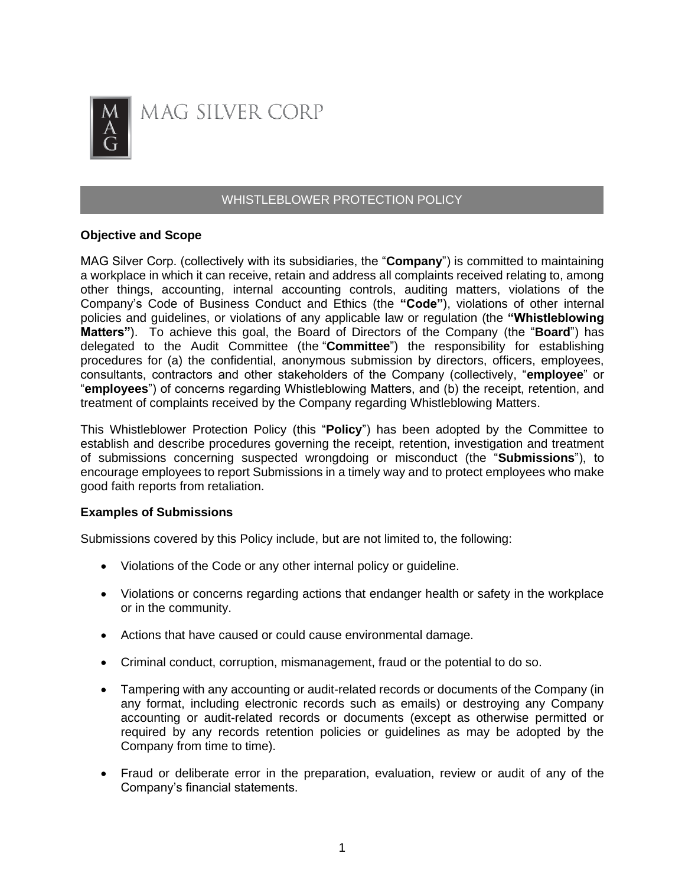

# WHISTLEBLOWER PROTECTION POLICY

### **Objective and Scope**

MAG Silver Corp. (collectively with its subsidiaries, the "**Company**") is committed to maintaining a workplace in which it can receive, retain and address all complaints received relating to, among other things, accounting, internal accounting controls, auditing matters, violations of the Company's Code of Business Conduct and Ethics (the **"Code"**), violations of other internal policies and guidelines, or violations of any applicable law or regulation (the **"Whistleblowing Matters"**). To achieve this goal, the Board of Directors of the Company (the "**Board**") has delegated to the Audit Committee (the "**Committee**") the responsibility for establishing procedures for (a) the confidential, anonymous submission by directors, officers, employees, consultants, contractors and other stakeholders of the Company (collectively, "**employee**" or "**employees**") of concerns regarding Whistleblowing Matters, and (b) the receipt, retention, and treatment of complaints received by the Company regarding Whistleblowing Matters.

This Whistleblower Protection Policy (this "**Policy**") has been adopted by the Committee to establish and describe procedures governing the receipt, retention, investigation and treatment of submissions concerning suspected wrongdoing or misconduct (the "**Submissions**"), to encourage employees to report Submissions in a timely way and to protect employees who make good faith reports from retaliation.

# **Examples of Submissions**

Submissions covered by this Policy include, but are not limited to, the following:

- Violations of the Code or any other internal policy or guideline.
- Violations or concerns regarding actions that endanger health or safety in the workplace or in the community.
- Actions that have caused or could cause environmental damage.
- Criminal conduct, corruption, mismanagement, fraud or the potential to do so.
- Tampering with any accounting or audit-related records or documents of the Company (in any format, including electronic records such as emails) or destroying any Company accounting or audit-related records or documents (except as otherwise permitted or required by any records retention policies or guidelines as may be adopted by the Company from time to time).
- Fraud or deliberate error in the preparation, evaluation, review or audit of any of the Company's financial statements.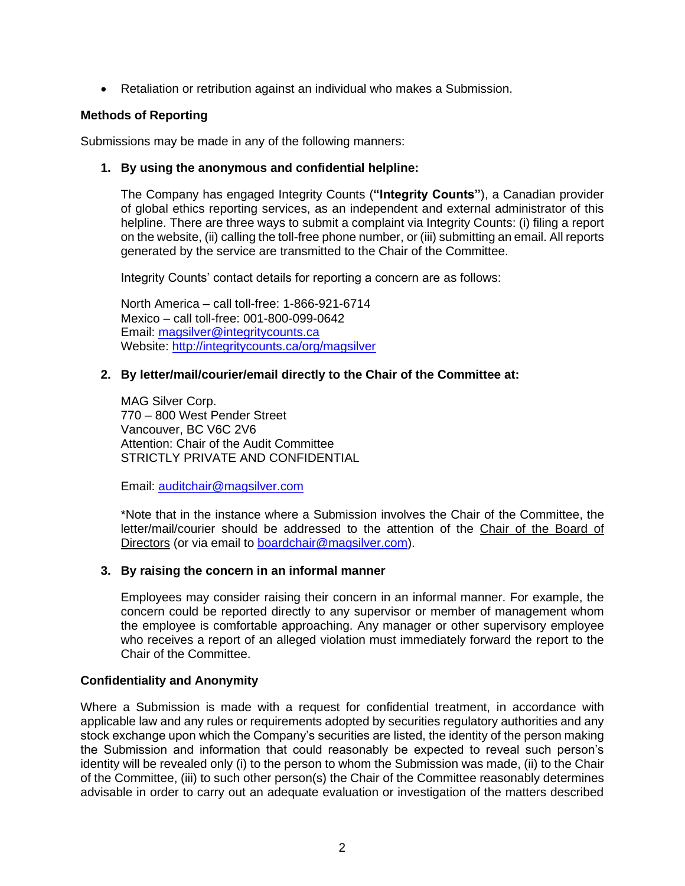• Retaliation or retribution against an individual who makes a Submission.

# **Methods of Reporting**

Submissions may be made in any of the following manners:

# **1. By using the anonymous and confidential helpline:**

The Company has engaged Integrity Counts (**"Integrity Counts"**), a Canadian provider of global ethics reporting services, as an independent and external administrator of this helpline. There are three ways to submit a complaint via Integrity Counts: (i) filing a report on the website, (ii) calling the toll-free phone number, or (iii) submitting an email. All reports generated by the service are transmitted to the Chair of the Committee.

Integrity Counts' contact details for reporting a concern are as follows:

North America – call toll-free: 1-866-921-6714 Mexico – call toll-free: 001-800-099-0642 Email: [magsilver@integritycounts.ca](mailto:magsilver@integritycounts.ca) Website:<http://integritycounts.ca/org/magsilver>

# **2. By letter/mail/courier/email directly to the Chair of the Committee at:**

MAG Silver Corp. 770 – 800 West Pender Street Vancouver, BC V6C 2V6 Attention: Chair of the Audit Committee STRICTLY PRIVATE AND CONFIDENTIAL

Email: [auditchair@magsilver.com](mailto:auditchair@magsilver.com)

\*Note that in the instance where a Submission involves the Chair of the Committee, the letter/mail/courier should be addressed to the attention of the Chair of the Board of Directors (or via email to [boardchair@magsilver.com\)](mailto:boardchair@magsilver.com).

# **3. By raising the concern in an informal manner**

Employees may consider raising their concern in an informal manner. For example, the concern could be reported directly to any supervisor or member of management whom the employee is comfortable approaching. Any manager or other supervisory employee who receives a report of an alleged violation must immediately forward the report to the Chair of the Committee.

# **Confidentiality and Anonymity**

Where a Submission is made with a request for confidential treatment, in accordance with applicable law and any rules or requirements adopted by securities regulatory authorities and any stock exchange upon which the Company's securities are listed, the identity of the person making the Submission and information that could reasonably be expected to reveal such person's identity will be revealed only (i) to the person to whom the Submission was made, (ii) to the Chair of the Committee, (iii) to such other person(s) the Chair of the Committee reasonably determines advisable in order to carry out an adequate evaluation or investigation of the matters described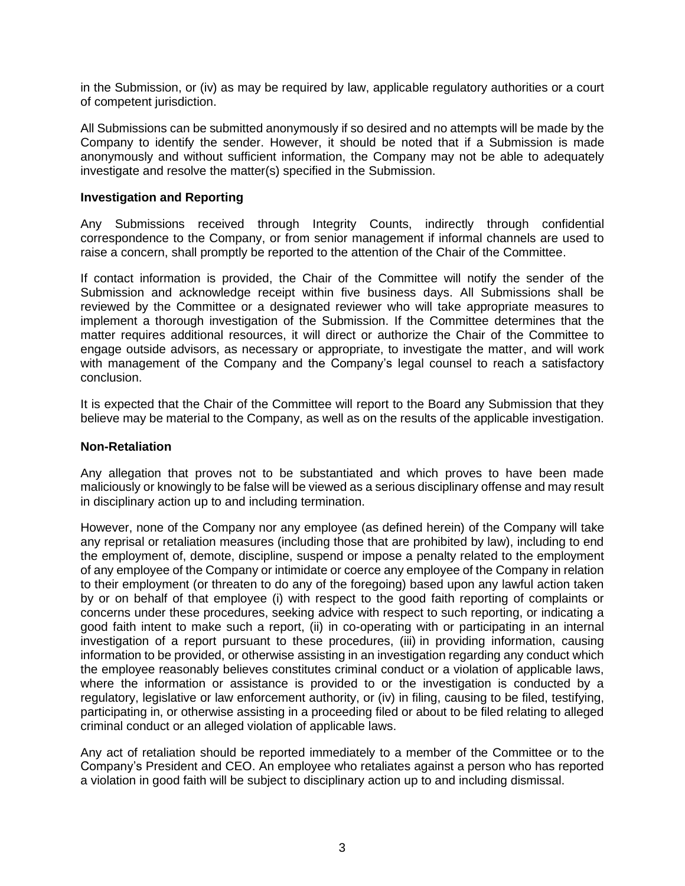in the Submission, or (iv) as may be required by law, applicable regulatory authorities or a court of competent jurisdiction.

All Submissions can be submitted anonymously if so desired and no attempts will be made by the Company to identify the sender. However, it should be noted that if a Submission is made anonymously and without sufficient information, the Company may not be able to adequately investigate and resolve the matter(s) specified in the Submission.

### **Investigation and Reporting**

Any Submissions received through Integrity Counts, indirectly through confidential correspondence to the Company, or from senior management if informal channels are used to raise a concern, shall promptly be reported to the attention of the Chair of the Committee.

If contact information is provided, the Chair of the Committee will notify the sender of the Submission and acknowledge receipt within five business days. All Submissions shall be reviewed by the Committee or a designated reviewer who will take appropriate measures to implement a thorough investigation of the Submission. If the Committee determines that the matter requires additional resources, it will direct or authorize the Chair of the Committee to engage outside advisors, as necessary or appropriate, to investigate the matter, and will work with management of the Company and the Company's legal counsel to reach a satisfactory conclusion.

It is expected that the Chair of the Committee will report to the Board any Submission that they believe may be material to the Company, as well as on the results of the applicable investigation.

#### **Non-Retaliation**

Any allegation that proves not to be substantiated and which proves to have been made maliciously or knowingly to be false will be viewed as a serious disciplinary offense and may result in disciplinary action up to and including termination.

However, none of the Company nor any employee (as defined herein) of the Company will take any reprisal or retaliation measures (including those that are prohibited by law), including to end the employment of, demote, discipline, suspend or impose a penalty related to the employment of any employee of the Company or intimidate or coerce any employee of the Company in relation to their employment (or threaten to do any of the foregoing) based upon any lawful action taken by or on behalf of that employee (i) with respect to the good faith reporting of complaints or concerns under these procedures, seeking advice with respect to such reporting, or indicating a good faith intent to make such a report, (ii) in co-operating with or participating in an internal investigation of a report pursuant to these procedures, (iii) in providing information, causing information to be provided, or otherwise assisting in an investigation regarding any conduct which the employee reasonably believes constitutes criminal conduct or a violation of applicable laws, where the information or assistance is provided to or the investigation is conducted by a regulatory, legislative or law enforcement authority, or (iv) in filing, causing to be filed, testifying, participating in, or otherwise assisting in a proceeding filed or about to be filed relating to alleged criminal conduct or an alleged violation of applicable laws.

Any act of retaliation should be reported immediately to a member of the Committee or to the Company's President and CEO. An employee who retaliates against a person who has reported a violation in good faith will be subject to disciplinary action up to and including dismissal.